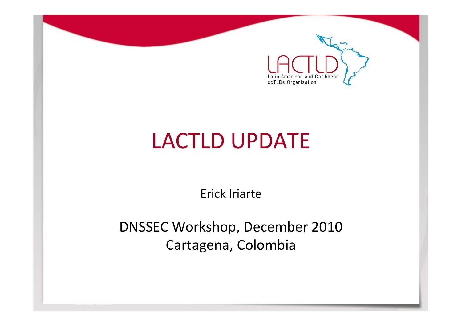

# LACTLD UPDATE

Erick Iriarte

DNSSEC Workshop, December 2010 Cartagena, Colombia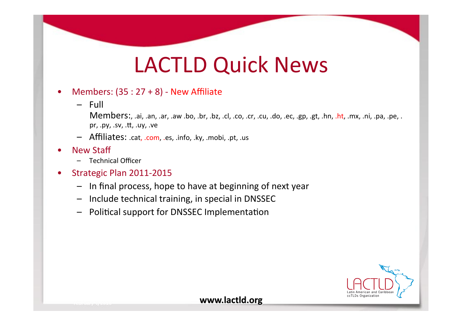### LACTLD Quick News

#### Members:  $(35:27+8)$  - New Affiliate

 $-$  Full

Members:, .ai, .an, .ar, .aw .bo, .br, .bz, .cl, .co, .cr, .cu, .do, .ec, .gp, .gt, .hn, .ht, .mx, .ni, .pa, .pe, . pr, .py, .sv, .tt, .uy, .ve

- $-$  Affiliates: .cat, .com, .es, .info, .ky, .mobi, .pt, .us
- **New Staff** 
	- Technical&Officer&
- Strategic Plan 2011-2015
	- $-$  In final process, hope to have at beginning of next year
	- $-$  Include technical training, in special in DNSSEC
	- Political support for DNSSEC Implementation

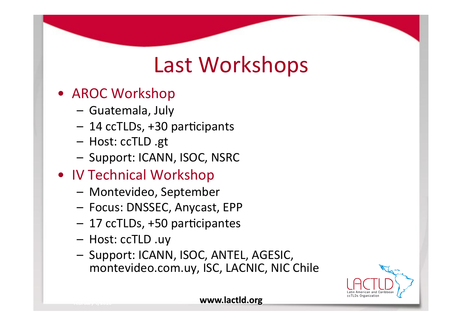## Last Workshops

- AROC Workshop
	- Guatemala, July
	- $-14$  ccTLDs, +30 participants
	- Host: ccTLD .gt
	- Support: ICANN, ISOC, NSRC
- IV Technical Workshop
	- Montevideo, September
	- Focus:&DNSSEC,&Anycast,&EPP&
	- 17 ccTLDs, +50 participantes
	- $-$  Host: ccTLD .uy
	- Support: ICANN, ISOC, ANTEL, AGESIC, montevideo.com.uy, ISC, LACNIC, NIC Chile

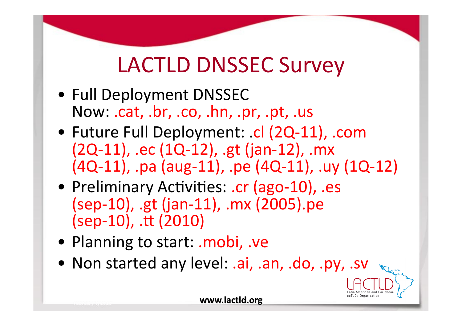# LACTLD DNSSEC Survey

- Full Deployment DNSSEC Now: .cat, .br, .co, .hn, .pr, .pt, .us
- Future Full Deployment: .cl (2Q-11), .com (2Q-11), .ec (1Q-12), .gt (jan-12), .mx (4Q-11), .pa (aug-11), .pe (4Q-11), .uy (1Q-12)
- Preliminary Activities: .cr (ago-10), .es (sep-10), .gt (jan-11), .mx (2005).pe  $(sep-10)$ , .tt  $(2010)$
- Planning to start: .mobi, .ve
- Non started any level: .ai, .an, .do, .py, .sv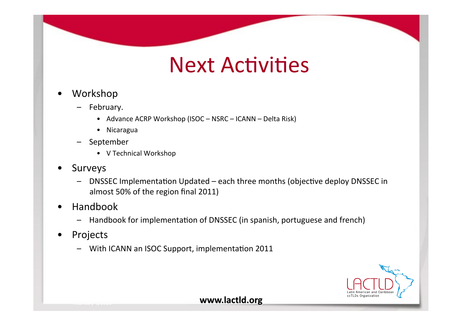#### **Next Activities**

- Workshop
	- February.
		- Advance ACRP Workshop (ISOC NSRC ICANN Delta Risk)
		- Nicaragua
	- September
		- V Technical Workshop
- Surveys  $\bullet$ 
	- DNSSEC Implementation Updated each three months (objective deploy DNSSEC in almost 50% of the region final 2011)
- Handbook
	- Handbook for implementation of DNSSEC (in spanish, portuguese and french)
- Projects
	- With ICANN an ISOC Support, implementation 2011

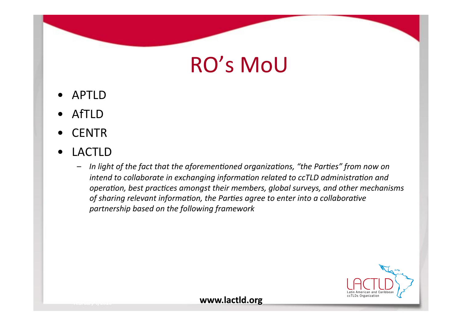# **RO's MoU**

- APTLD
- **AfTLD**
- **CENTR**
- **LACTLD**  $\bullet$ 
	- In light of the fact that the aforementioned organizations, "the Parties" from now on  $\overline{\phantom{m}}$ intend to collaborate in exchanging information related to ccTLD administration and operation, best practices amongst their members, global surveys, and other mechanisms of sharing relevant information, the Parties agree to enter into a collaborative partnership based on the following framework

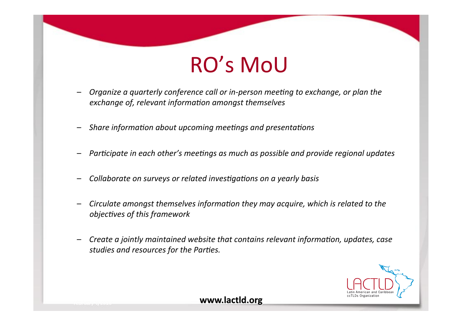### **RO's MoU**

- Organize a quarterly conference call or in-person meeting to exchange, or plan the exchange of, relevant information amongst themselves
- Share information about upcoming meetings and presentations
- Participate in each other's meetings as much as possible and provide regional updates
- Collaborate on surveys or related investigations on a yearly basis
- Circulate amongst themselves information they may acquire, which is related to the objectives of this framework
- Create a jointly maintained website that contains relevant information, updates, case  $\overline{\phantom{m}}$ studies and resources for the Parties.